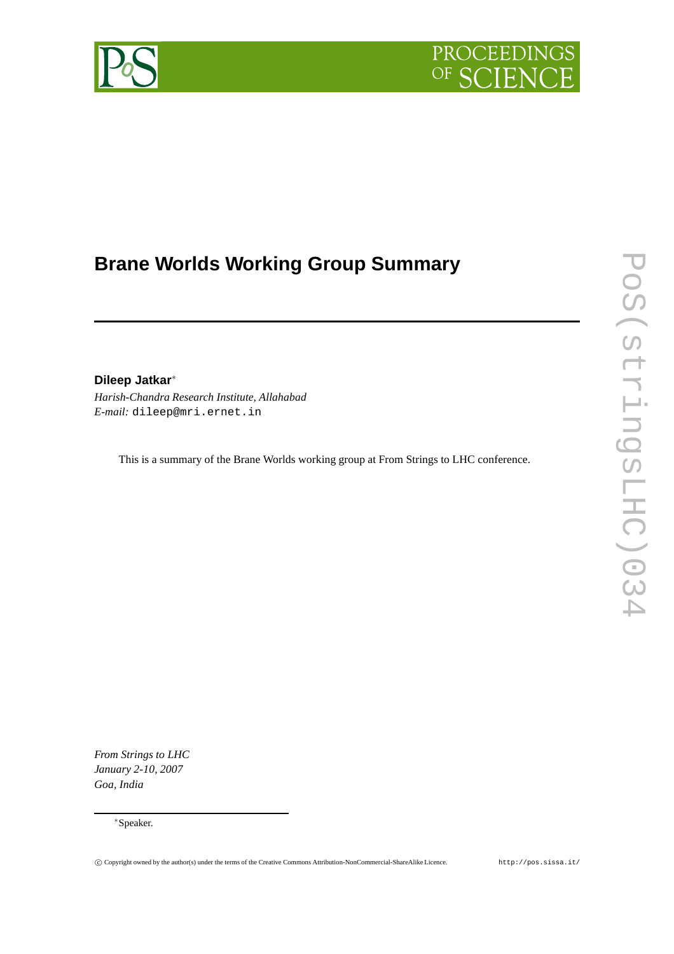



# **Brane Worlds Working Group Summary**

## **Dileep Jatkar**<sup>∗</sup>

*Harish-Chandra Research Institute, Allahabad E-mail:* dileep@mri.ernet.in

This is a summary of the Brane Worlds working group at From Strings to LHC conference.

*From Strings to LHC January 2-10, 2007 Goa, India*

<sup>∗</sup>Speaker.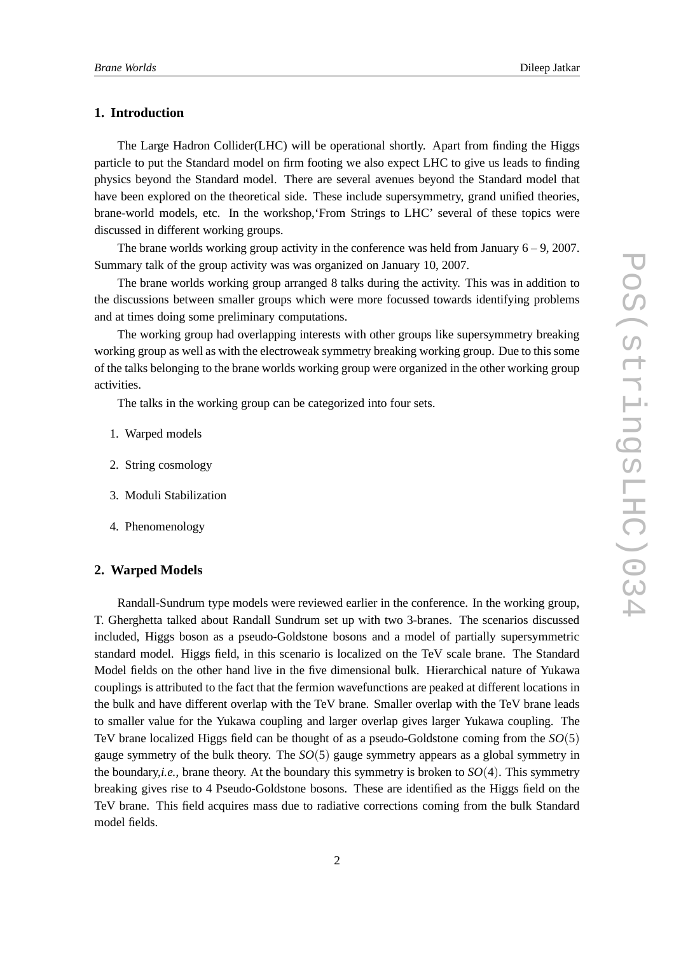#### **1. Introduction**

The Large Hadron Collider(LHC) will be operational shortly. Apart from finding the Higgs particle to put the Standard model on firm footing we also expect LHC to give us leads to finding physics beyond the Standard model. There are several avenues beyond the Standard model that have been explored on the theoretical side. These include supersymmetry, grand unified theories, brane-world models, etc. In the workshop,'From Strings to LHC' several of these topics were discussed in different working groups.

The brane worlds working group activity in the conference was held from January 6 – 9, 2007. Summary talk of the group activity was was organized on January 10, 2007.

The brane worlds working group arranged 8 talks during the activity. This was in addition to the discussions between smaller groups which were more focussed towards identifying problems and at times doing some preliminary computations.

The working group had overlapping interests with other groups like supersymmetry breaking working group as well as with the electroweak symmetry breaking working group. Due to this some of the talks belonging to the brane worlds working group were organized in the other working group activities.

The talks in the working group can be categorized into four sets.

- 1. Warped models
- 2. String cosmology
- 3. Moduli Stabilization
- 4. Phenomenology

#### **2. Warped Models**

Randall-Sundrum type models were reviewed earlier in the conference. In the working group, T. Gherghetta talked about Randall Sundrum set up with two 3-branes. The scenarios discussed included, Higgs boson as a pseudo-Goldstone bosons and a model of partially supersymmetric standard model. Higgs field, in this scenario is localized on the TeV scale brane. The Standard Model fields on the other hand live in the five dimensional bulk. Hierarchical nature of Yukawa couplings is attributed to the fact that the fermion wavefunctions are peaked at different locations in the bulk and have different overlap with the TeV brane. Smaller overlap with the TeV brane leads to smaller value for the Yukawa coupling and larger overlap gives larger Yukawa coupling. The TeV brane localized Higgs field can be thought of as a pseudo-Goldstone coming from the *SO*(5) gauge symmetry of the bulk theory. The *SO*(5) gauge symmetry appears as a global symmetry in the boundary,*i.e.*, brane theory. At the boundary this symmetry is broken to *SO*(4). This symmetry breaking gives rise to 4 Pseudo-Goldstone bosons. These are identified as the Higgs field on the TeV brane. This field acquires mass due to radiative corrections coming from the bulk Standard model fields.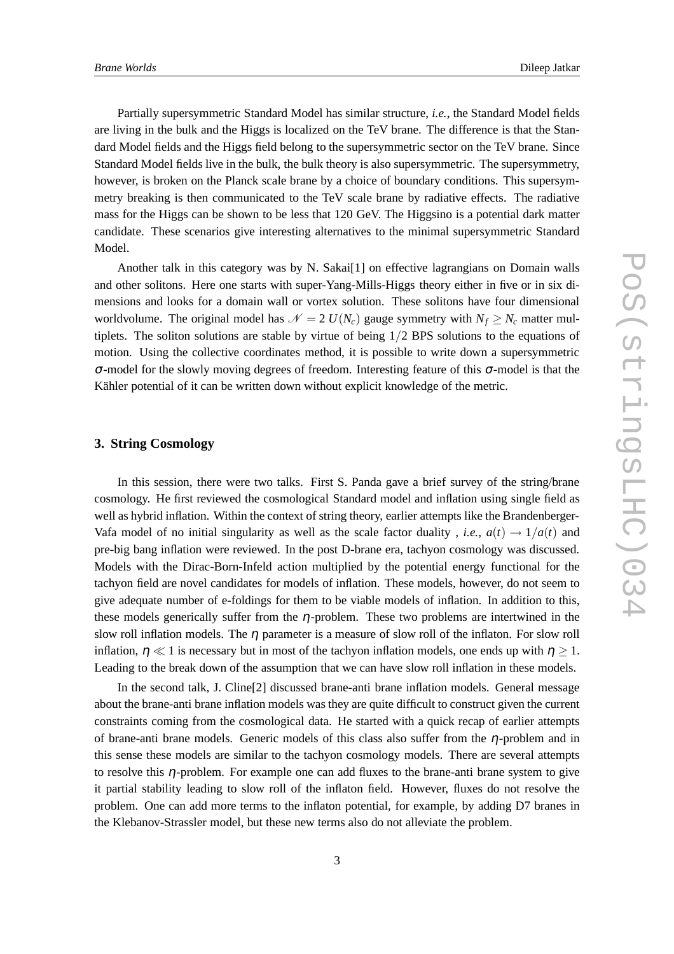Partially supersymmetric Standard Model has similar structure, *i.e.*, the Standard Model fields are living in the bulk and the Higgs is localized on the TeV brane. The difference is that the Standard Model fields and the Higgs field belong to the supersymmetric sector on the TeV brane. Since Standard Model fields live in the bulk, the bulk theory is also supersymmetric. The supersymmetry, however, is broken on the Planck scale brane by a choice of boundary conditions. This supersymmetry breaking is then communicated to the TeV scale brane by radiative effects. The radiative mass for the Higgs can be shown to be less that 120 GeV. The Higgsino is a potential dark matter candidate. These scenarios give interesting alternatives to the minimal supersymmetric Standard Model.

Another talk in this category was by N. Sakai[1] on effective lagrangians on Domain walls and other solitons. Here one starts with super-Yang-Mills-Higgs theory either in five or in six dimensions and looks for a domain wall or vortex solution. These solitons have four dimensional worldvolume. The original model has  $\mathcal{N} = 2 U(N_c)$  gauge symmetry with  $N_f \ge N_c$  matter multiplets. The soliton solutions are stable by virtue of being  $1/2$  BPS solutions to the equations of motion. Using the collective coordinates method, it is possible to write down a supersymmetric <sup>σ</sup>-model for the slowly moving degrees of freedom. Interesting feature of this <sup>σ</sup>-model is that the Kähler potential of it can be written down without explicit knowledge of the metric.

#### **3. String Cosmology**

In this session, there were two talks. First S. Panda gave a brief survey of the string/brane cosmology. He first reviewed the cosmological Standard model and inflation using single field as well as hybrid inflation. Within the context of string theory, earlier attempts like the Brandenberger-Vafa model of no initial singularity as well as the scale factor duality, *i.e.*,  $a(t) \rightarrow 1/a(t)$  and pre-big bang inflation were reviewed. In the post D-brane era, tachyon cosmology was discussed. Models with the Dirac-Born-Infeld action multiplied by the potential energy functional for the tachyon field are novel candidates for models of inflation. These models, however, do not seem to give adequate number of e-foldings for them to be viable models of inflation. In addition to this, these models generically suffer from the  $\eta$ -problem. These two problems are intertwined in the slow roll inflation models. The  $\eta$  parameter is a measure of slow roll of the inflaton. For slow roll inflation,  $\eta \ll 1$  is necessary but in most of the tachyon inflation models, one ends up with  $\eta > 1$ . Leading to the break down of the assumption that we can have slow roll inflation in these models.

In the second talk, J. Cline[2] discussed brane-anti brane inflation models. General message about the brane-anti brane inflation models was they are quite difficult to construct given the current constraints coming from the cosmological data. He started with a quick recap of earlier attempts of brane-anti brane models. Generic models of this class also suffer from the  $\eta$ -problem and in this sense these models are similar to the tachyon cosmology models. There are several attempts to resolve this  $\eta$ -problem. For example one can add fluxes to the brane-anti brane system to give it partial stability leading to slow roll of the inflaton field. However, fluxes do not resolve the problem. One can add more terms to the inflaton potential, for example, by adding D7 branes in the Klebanov-Strassler model, but these new terms also do not alleviate the problem.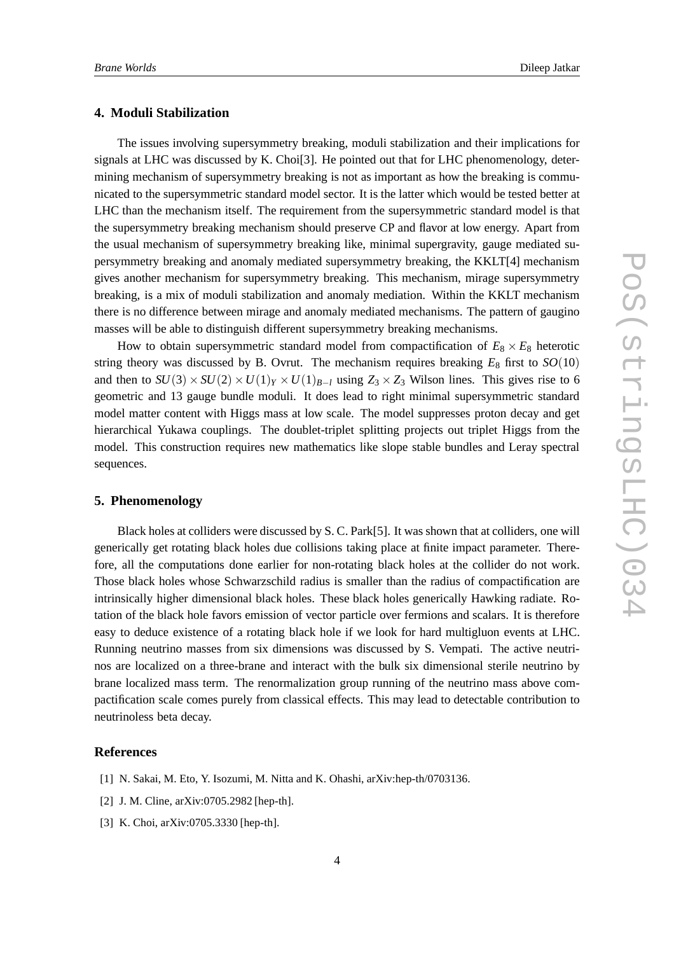#### **4. Moduli Stabilization**

The issues involving supersymmetry breaking, moduli stabilization and their implications for signals at LHC was discussed by K. Choi[3]. He pointed out that for LHC phenomenology, determining mechanism of supersymmetry breaking is not as important as how the breaking is communicated to the supersymmetric standard model sector. It is the latter which would be tested better at LHC than the mechanism itself. The requirement from the supersymmetric standard model is that the supersymmetry breaking mechanism should preserve CP and flavor at low energy. Apart from the usual mechanism of supersymmetry breaking like, minimal supergravity, gauge mediated supersymmetry breaking and anomaly mediated supersymmetry breaking, the KKLT[4] mechanism gives another mechanism for supersymmetry breaking. This mechanism, mirage supersymmetry breaking, is a mix of moduli stabilization and anomaly mediation. Within the KKLT mechanism there is no difference between mirage and anomaly mediated mechanisms. The pattern of gaugino masses will be able to distinguish different supersymmetry breaking mechanisms.

How to obtain supersymmetric standard model from compactification of  $E_8 \times E_8$  heterotic string theory was discussed by B. Ovrut. The mechanism requires breaking  $E_8$  first to  $SO(10)$ and then to  $SU(3) \times SU(2) \times U(1)_Y \times U(1)_{B-I}$  using  $Z_3 \times Z_3$  Wilson lines. This gives rise to 6 geometric and 13 gauge bundle moduli. It does lead to right minimal supersymmetric standard model matter content with Higgs mass at low scale. The model suppresses proton decay and get hierarchical Yukawa couplings. The doublet-triplet splitting projects out triplet Higgs from the model. This construction requires new mathematics like slope stable bundles and Leray spectral sequences.

#### **5. Phenomenology**

Black holes at colliders were discussed by S. C. Park[5]. It was shown that at colliders, one will generically get rotating black holes due collisions taking place at finite impact parameter. Therefore, all the computations done earlier for non-rotating black holes at the collider do not work. Those black holes whose Schwarzschild radius is smaller than the radius of compactification are intrinsically higher dimensional black holes. These black holes generically Hawking radiate. Rotation of the black hole favors emission of vector particle over fermions and scalars. It is therefore easy to deduce existence of a rotating black hole if we look for hard multigluon events at LHC. Running neutrino masses from six dimensions was discussed by S. Vempati. The active neutrinos are localized on a three-brane and interact with the bulk six dimensional sterile neutrino by brane localized mass term. The renormalization group running of the neutrino mass above compactification scale comes purely from classical effects. This may lead to detectable contribution to neutrinoless beta decay.

### **References**

- [1] N. Sakai, M. Eto, Y. Isozumi, M. Nitta and K. Ohashi, arXiv:hep-th/0703136.
- [2] J. M. Cline, arXiv:0705.2982 [hep-th].
- [3] K. Choi, arXiv:0705.3330 [hep-th].